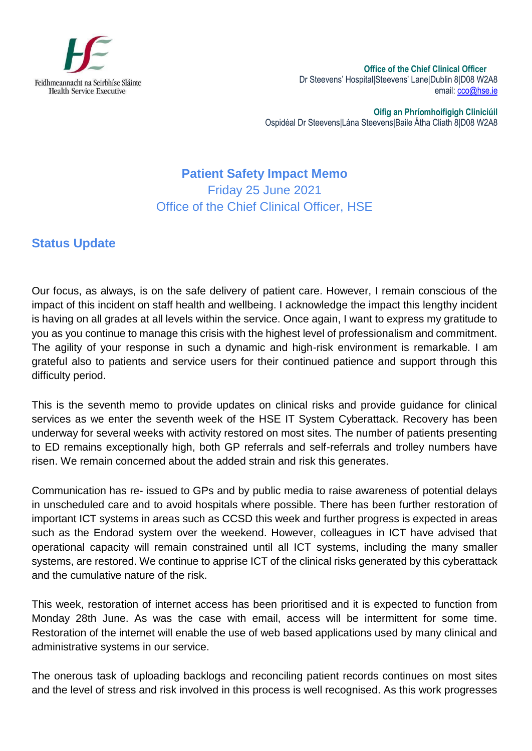

**Office of the Chief Clinical Officer** Dr Steevens' Hospital|Steevens' Lane|Dublin 8|D08 W2A8 email[: cco@hse.ie](mailto:cco@hse.ie)

**Oifig an Phríomhoifigigh Cliniciúil** Ospidéal Dr Steevens|Lána Steevens|Baile Átha Cliath 8|D08 W2A8

**Patient Safety Impact Memo**  Friday 25 June 2021 Office of the Chief Clinical Officer, HSE

## **Status Update**

Our focus, as always, is on the safe delivery of patient care. However, I remain conscious of the impact of this incident on staff health and wellbeing. I acknowledge the impact this lengthy incident is having on all grades at all levels within the service. Once again, I want to express my gratitude to you as you continue to manage this crisis with the highest level of professionalism and commitment. The agility of your response in such a dynamic and high-risk environment is remarkable. I am grateful also to patients and service users for their continued patience and support through this difficulty period.

This is the seventh memo to provide updates on clinical risks and provide guidance for clinical services as we enter the seventh week of the HSE IT System Cyberattack. Recovery has been underway for several weeks with activity restored on most sites. The number of patients presenting to ED remains exceptionally high, both GP referrals and self-referrals and trolley numbers have risen. We remain concerned about the added strain and risk this generates.

Communication has re- issued to GPs and by public media to raise awareness of potential delays in unscheduled care and to avoid hospitals where possible. There has been further restoration of important ICT systems in areas such as CCSD this week and further progress is expected in areas such as the Endorad system over the weekend. However, colleagues in ICT have advised that operational capacity will remain constrained until all ICT systems, including the many smaller systems, are restored. We continue to apprise ICT of the clinical risks generated by this cyberattack and the cumulative nature of the risk.

This week, restoration of internet access has been prioritised and it is expected to function from Monday 28th June. As was the case with email, access will be intermittent for some time. Restoration of the internet will enable the use of web based applications used by many clinical and administrative systems in our service.

The onerous task of uploading backlogs and reconciling patient records continues on most sites and the level of stress and risk involved in this process is well recognised. As this work progresses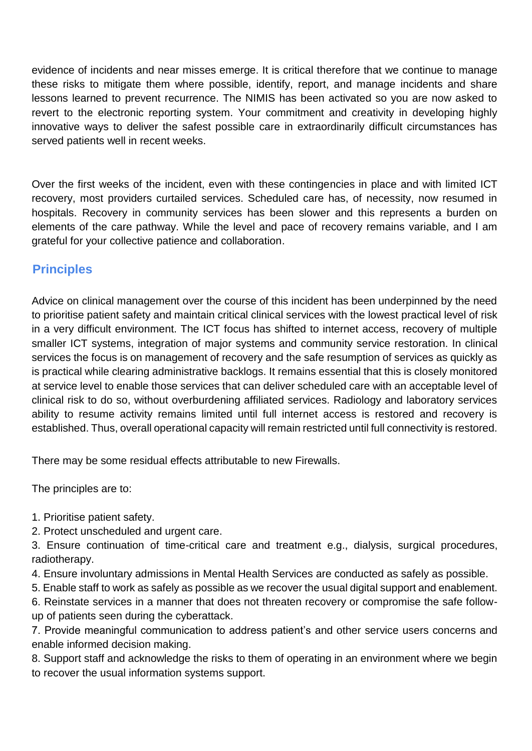evidence of incidents and near misses emerge. It is critical therefore that we continue to manage these risks to mitigate them where possible, identify, report, and manage incidents and share lessons learned to prevent recurrence. The NIMIS has been activated so you are now asked to revert to the electronic reporting system. Your commitment and creativity in developing highly innovative ways to deliver the safest possible care in extraordinarily difficult circumstances has served patients well in recent weeks.

Over the first weeks of the incident, even with these contingencies in place and with limited ICT recovery, most providers curtailed services. Scheduled care has, of necessity, now resumed in hospitals. Recovery in community services has been slower and this represents a burden on elements of the care pathway. While the level and pace of recovery remains variable, and I am grateful for your collective patience and collaboration.

## **Principles**

Advice on clinical management over the course of this incident has been underpinned by the need to prioritise patient safety and maintain critical clinical services with the lowest practical level of risk in a very difficult environment. The ICT focus has shifted to internet access, recovery of multiple smaller ICT systems, integration of major systems and community service restoration. In clinical services the focus is on management of recovery and the safe resumption of services as quickly as is practical while clearing administrative backlogs. It remains essential that this is closely monitored at service level to enable those services that can deliver scheduled care with an acceptable level of clinical risk to do so, without overburdening affiliated services. Radiology and laboratory services ability to resume activity remains limited until full internet access is restored and recovery is established. Thus, overall operational capacity will remain restricted until full connectivity is restored.

There may be some residual effects attributable to new Firewalls.

The principles are to:

- 1. Prioritise patient safety.
- 2. Protect unscheduled and urgent care.
- 3. Ensure continuation of time-critical care and treatment e.g., dialysis, surgical procedures, radiotherapy.
- 4. Ensure involuntary admissions in Mental Health Services are conducted as safely as possible.
- 5. Enable staff to work as safely as possible as we recover the usual digital support and enablement.
- 6. Reinstate services in a manner that does not threaten recovery or compromise the safe followup of patients seen during the cyberattack.
- 7. Provide meaningful communication to address patient's and other service users concerns and enable informed decision making.
- 8. Support staff and acknowledge the risks to them of operating in an environment where we begin to recover the usual information systems support.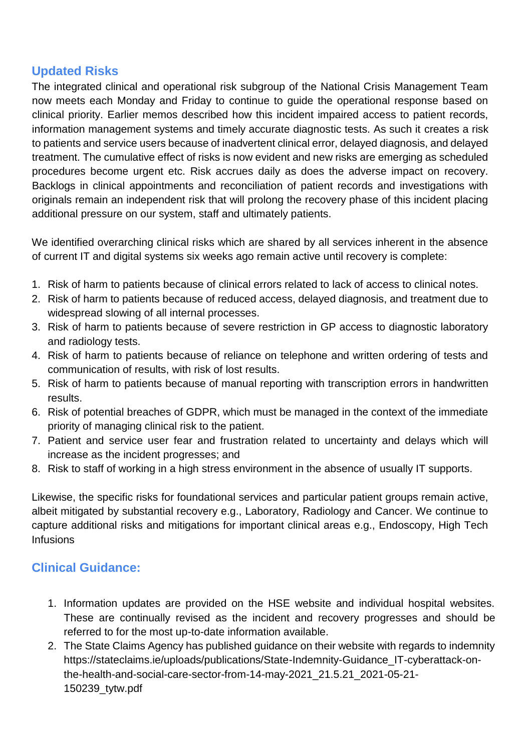## **Updated Risks**

The integrated clinical and operational risk subgroup of the National Crisis Management Team now meets each Monday and Friday to continue to guide the operational response based on clinical priority. Earlier memos described how this incident impaired access to patient records, information management systems and timely accurate diagnostic tests. As such it creates a risk to patients and service users because of inadvertent clinical error, delayed diagnosis, and delayed treatment. The cumulative effect of risks is now evident and new risks are emerging as scheduled procedures become urgent etc. Risk accrues daily as does the adverse impact on recovery. Backlogs in clinical appointments and reconciliation of patient records and investigations with originals remain an independent risk that will prolong the recovery phase of this incident placing additional pressure on our system, staff and ultimately patients.

We identified overarching clinical risks which are shared by all services inherent in the absence of current IT and digital systems six weeks ago remain active until recovery is complete:

- 1. Risk of harm to patients because of clinical errors related to lack of access to clinical notes.
- 2. Risk of harm to patients because of reduced access, delayed diagnosis, and treatment due to widespread slowing of all internal processes.
- 3. Risk of harm to patients because of severe restriction in GP access to diagnostic laboratory and radiology tests.
- 4. Risk of harm to patients because of reliance on telephone and written ordering of tests and communication of results, with risk of lost results.
- 5. Risk of harm to patients because of manual reporting with transcription errors in handwritten results.
- 6. Risk of potential breaches of GDPR, which must be managed in the context of the immediate priority of managing clinical risk to the patient.
- 7. Patient and service user fear and frustration related to uncertainty and delays which will increase as the incident progresses; and
- 8. Risk to staff of working in a high stress environment in the absence of usually IT supports.

Likewise, the specific risks for foundational services and particular patient groups remain active, albeit mitigated by substantial recovery e.g., Laboratory, Radiology and Cancer. We continue to capture additional risks and mitigations for important clinical areas e.g., Endoscopy, High Tech Infusions

## **Clinical Guidance:**

- 1. Information updates are provided on the HSE website and individual hospital websites. These are continually revised as the incident and recovery progresses and should be referred to for the most up-to-date information available.
- 2. The State Claims Agency has published guidance on their website with regards to indemnity https://stateclaims.ie/uploads/publications/State-Indemnity-Guidance\_IT-cyberattack-onthe-health-and-social-care-sector-from-14-may-2021\_21.5.21\_2021-05-21- 150239\_tytw.pdf